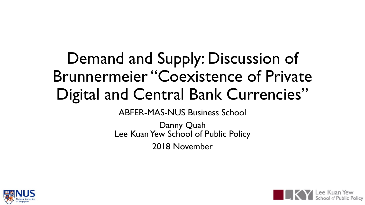### Demand and Supply: Discussion of Brunnermeier "Coexistence of Private Digital and Central Bank Currencies"

ABFER-MAS-NUS Business School

Danny Quah Lee Kuan Yew School of Public Policy 2018 November



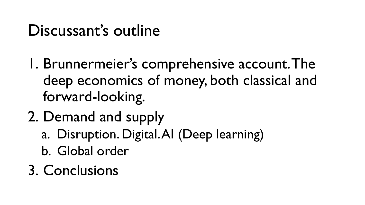#### Discussant's outline

- 1. Brunnermeier's comprehensive account. The deep economics of money, both classical and forward-looking.
- 2. Demand and supply
	- a. Disruption. Digital. AI (Deep learning)
	- b. Global order
- 3. Conclusions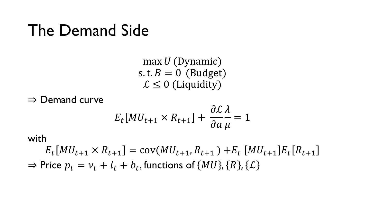#### The Demand Side

 $max U(Dynamic)$ s. t.  $B = 0$  (Budget)  $\mathcal{L} \leq 0$  (Liquidity)

⇒ Demand curve

$$
E_t[MU_{t+1} \times R_{t+1}] + \frac{\partial \mathcal{L}}{\partial a \mu} = 1
$$

with

 $E_t[MU_{t+1} \times R_{t+1}] = cov(MU_{t+1}, R_{t+1}) + E_t [MU_{t+1}] E_t[R_{t+1}]$  $\Rightarrow$  Price  $p_t = v_t + l_t + b_t$ , functions of  $\{MU\}$ ,  $\{R\}$ ,  $\{\mathcal{L}\}$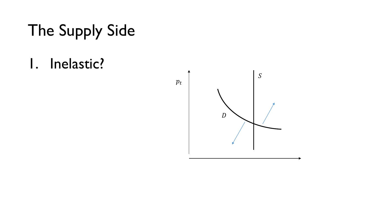## The Supply Side

1. Inelastic?

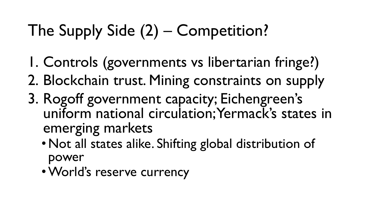# The Supply Side (2) – Competition?

- 1. Controls (governments vs libertarian fringe?)
- 2. Blockchain trust. Mining constraints on supply
- 3. Rogoff government capacity; Eichengreen's uniform national circulation; Yermack's states in emerging markets
	- •Not all states alike. Shifting global distribution of power
	- •World's reserve currency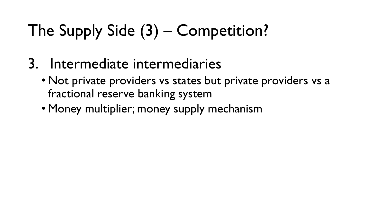# The Supply Side (3) – Competition?

- 3. Intermediate intermediaries
	- Not private providers vs states but private providers vs a fractional reserve banking system
	- Money multiplier; money supply mechanism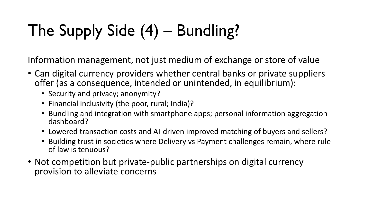# The Supply Side (4) – Bundling?

Information management, not just medium of exchange or store of value

- Can digital currency providers whether central banks or private suppliers offer (as a consequence, intended or unintended, in equilibrium):
	- Security and privacy; anonymity?
	- Financial inclusivity (the poor, rural; India)?
	- Bundling and integration with smartphone apps; personal information aggregation dashboard?
	- Lowered transaction costs and AI-driven improved matching of buyers and sellers?
	- Building trust in societies where Delivery vs Payment challenges remain, where rule of law is tenuous?
- Not competition but private-public partnerships on digital currency provision to alleviate concerns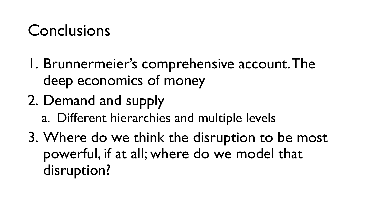### Conclusions

- 1. Brunnermeier's comprehensive account. The deep economics of money
- 2. Demand and supply
	- a. Different hierarchies and multiple levels
- 3. Where do we think the disruption to be most powerful, if at all; where do we model that disruption?